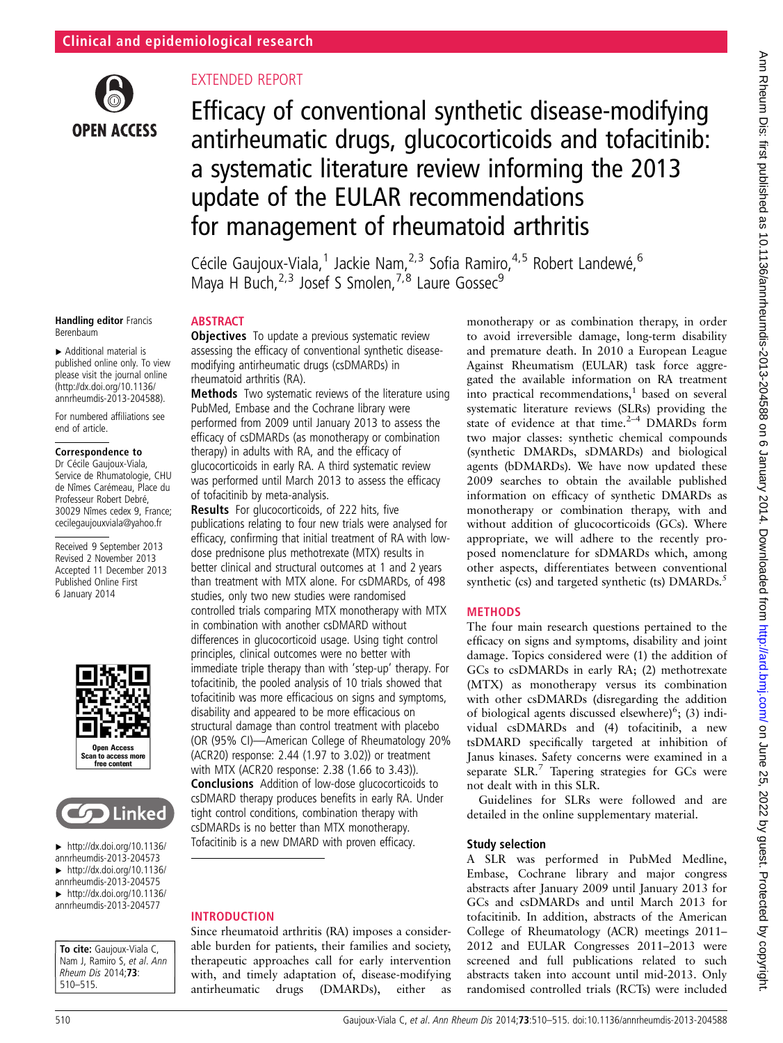

# EXTENDED REPORT

# Efficacy of conventional synthetic disease-modifying antirheumatic drugs, glucocorticoids and tofacitinib: a systematic literature review informing the 2013 update of the EULAR recommendations for management of rheumatoid arthritis

Cécile Gaujoux-Viala,<sup>1</sup> Jackie Nam,<sup>2,3</sup> Sofia Ramiro,<sup>4,5</sup> Robert Landewé,<sup>6</sup> Maya H Buch,<sup>2,3</sup> Josef S Smolen,<sup>7,8</sup> Laure Gossec<sup>9</sup>

#### Handling editor Francis Berenbaum

▸ Additional material is published online only. To view please visit the journal online [\(http://dx.doi.org/10.1136/](http://dx.doi.org/10.1136/annrheumdis-2013-204588) [annrheumdis-2013-204588\)](http://dx.doi.org/10.1136/annrheumdis-2013-204588).

For numbered affiliations see end of article.

## Correspondence to

Dr Cécile Gaujoux-Viala, Service de Rhumatologie, CHU de Nîmes Carémeau, Place du Professeur Robert Debré, 30029 Nîmes cedex 9, France; cecilegaujouxviala@yahoo.fr

Received 9 September 2013 Revised 2 November 2013 Accepted 11 December 2013 Published Online First 6 January 2014





 $\blacktriangleright$  [http://dx.doi.org/10.1136/](http://dx.doi.org/10.1136/annrheumdis-2013-204573) [annrheumdis-2013-204573](http://dx.doi.org/10.1136/annrheumdis-2013-204573)  $\blacktriangleright$  [http://dx.doi.org/10.1136/](http://dx.doi.org/10.1136/annrheumdis-2013-204575) [annrheumdis-2013-204575](http://dx.doi.org/10.1136/annrheumdis-2013-204575)  $\blacktriangleright$  [http://dx.doi.org/10.1136/](http://dx.doi.org/10.1136/annrheumdis-2013-204577) [annrheumdis-2013-204577](http://dx.doi.org/10.1136/annrheumdis-2013-204577)

To cite: Gaujoux-Viala C. Nam J, Ramiro S, et al. Ann Rheum Dis 2014;73: 510–515.

# **ABSTRACT**

**Objectives** To update a previous systematic review assessing the efficacy of conventional synthetic diseasemodifying antirheumatic drugs (csDMARDs) in rheumatoid arthritis (RA).

Methods Two systematic reviews of the literature using PubMed, Embase and the Cochrane library were performed from 2009 until January 2013 to assess the efficacy of csDMARDs (as monotherapy or combination therapy) in adults with RA, and the efficacy of glucocorticoids in early RA. A third systematic review was performed until March 2013 to assess the efficacy of tofacitinib by meta-analysis.

Results For glucocorticoids, of 222 hits, five publications relating to four new trials were analysed for efficacy, confirming that initial treatment of RA with lowdose prednisone plus methotrexate (MTX) results in better clinical and structural outcomes at 1 and 2 years than treatment with MTX alone. For csDMARDs, of 498 studies, only two new studies were randomised controlled trials comparing MTX monotherapy with MTX in combination with another csDMARD without differences in glucocorticoid usage. Using tight control principles, clinical outcomes were no better with immediate triple therapy than with 'step-up' therapy. For tofacitinib, the pooled analysis of 10 trials showed that tofacitinib was more efficacious on signs and symptoms, disability and appeared to be more efficacious on structural damage than control treatment with placebo (OR (95% CI)—American College of Rheumatology 20% (ACR20) response: 2.44 (1.97 to 3.02)) or treatment with MTX (ACR20 response: 2.38 (1.66 to 3.43)). Conclusions Addition of low-dose glucocorticoids to csDMARD therapy produces benefits in early RA. Under tight control conditions, combination therapy with csDMARDs is no better than MTX monotherapy. Tofacitinib is a new DMARD with proven efficacy.

# INTRODUCTION

Since rheumatoid arthritis (RA) imposes a considerable burden for patients, their families and society, therapeutic approaches call for early intervention with, and timely adaptation of, disease-modifying antirheumatic drugs (DMARDs), either as

monotherapy or as combination therapy, in order to avoid irreversible damage, long-term disability and premature death. In 2010 a European League Against Rheumatism (EULAR) task force aggregated the available information on RA treatment  $int$ o practical recommendations, $1$  based on several systematic literature reviews (SLRs) providing the state of evidence at that time.<sup>2–4</sup> DMARDs form two major classes: synthetic chemical compounds (synthetic DMARDs, sDMARDs) and biological agents (bDMARDs). We have now updated these 2009 searches to obtain the available published information on efficacy of synthetic DMARDs as monotherapy or combination therapy, with and without addition of glucocorticoids (GCs). Where appropriate, we will adhere to the recently proposed nomenclature for sDMARDs which, among other aspects, differentiates between conventional synthetic (cs) and targeted synthetic (ts)  $DMARDs.<sup>5</sup>$ 

# **METHODS**

The four main research questions pertained to the efficacy on signs and symptoms, disability and joint damage. Topics considered were (1) the addition of GCs to csDMARDs in early RA; (2) methotrexate (MTX) as monotherapy versus its combination with other csDMARDs (disregarding the addition of biological agents discussed elsewhere)<sup>6</sup>; (3) individual csDMARDs and (4) tofacitinib, a new tsDMARD specifically targeted at inhibition of Janus kinases. Safety concerns were examined in a separate  $SLR$ .<sup>7</sup> Tapering strategies for GCs were not dealt with in this SLR.

Guidelines for SLRs were followed and are detailed in the online [supplementary material.](http://ard.bmj.com/lookup/suppl/doi:10.1136/annrheumdis-2013-204588/-/DC1)

# Study selection

A SLR was performed in PubMed Medline, Embase, Cochrane library and major congress abstracts after January 2009 until January 2013 for GCs and csDMARDs and until March 2013 for tofacitinib. In addition, abstracts of the American College of Rheumatology (ACR) meetings 2011– 2012 and EULAR Congresses 2011–2013 were screened and full publications related to such abstracts taken into account until mid-2013. Only randomised controlled trials (RCTs) were included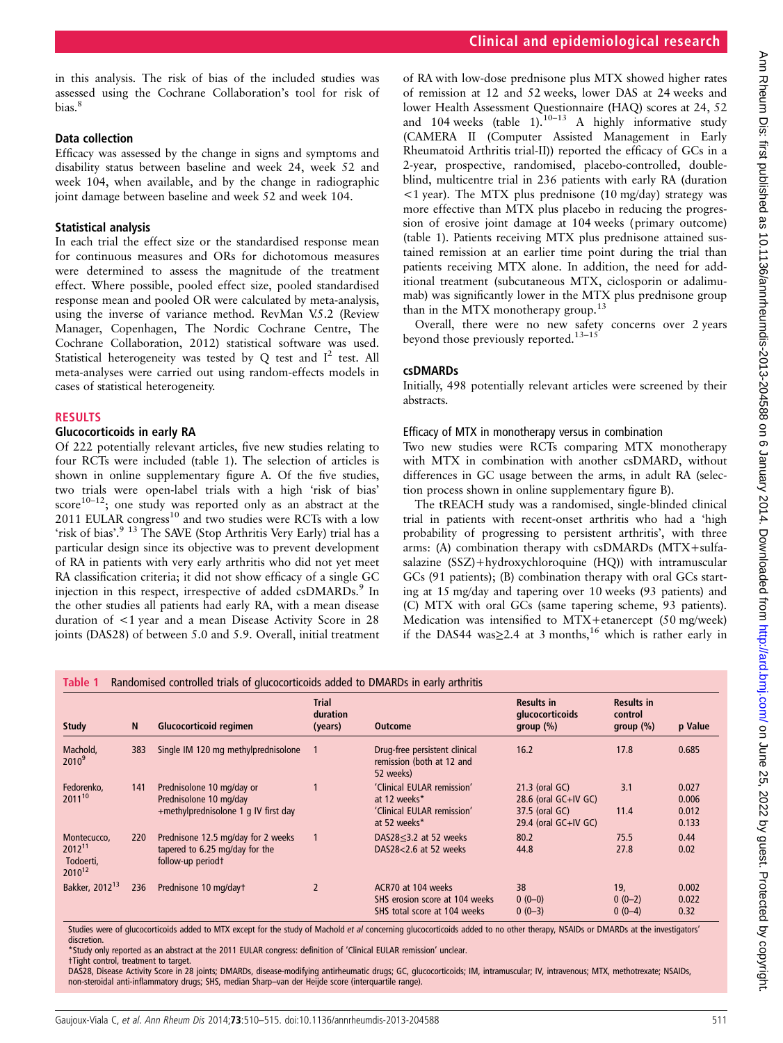in this analysis. The risk of bias of the included studies was assessed using the Cochrane Collaboration's tool for risk of bias.<sup>8</sup>

#### Data collection

Efficacy was assessed by the change in signs and symptoms and disability status between baseline and week 24, week 52 and week 104, when available, and by the change in radiographic joint damage between baseline and week 52 and week 104.

#### Statistical analysis

In each trial the effect size or the standardised response mean for continuous measures and ORs for dichotomous measures were determined to assess the magnitude of the treatment effect. Where possible, pooled effect size, pooled standardised response mean and pooled OR were calculated by meta-analysis, using the inverse of variance method. RevMan V.5.2 (Review Manager, Copenhagen, The Nordic Cochrane Centre, The Cochrane Collaboration, 2012) statistical software was used. Statistical heterogeneity was tested by Q test and  $I^2$  test. All meta-analyses were carried out using random-effects models in cases of statistical heterogeneity.

#### RESULTS

#### Glucocorticoids in early RA

Of 222 potentially relevant articles, five new studies relating to four RCTs were included (table 1). The selection of articles is shown in online [supplementary](http://ard.bmj.com/lookup/suppl/doi:10.1136/annrheumdis-2013-204588/-/DC1) figure A. Of the five studies, two trials were open-label trials with a high 'risk of bias' score<sup>10–12</sup>; one study was reported only as an abstract at the 2011 EULAR congress $^{10}$  and two studies were RCTs with a low 'risk of bias'.<sup>9 13</sup> The SAVE (Stop Arthritis Very Early) trial has a particular design since its objective was to prevent development of RA in patients with very early arthritis who did not yet meet RA classification criteria; it did not show efficacy of a single GC injection in this respect, irrespective of added csDMARDs.<sup>9</sup> In the other studies all patients had early RA, with a mean disease duration of <1 year and a mean Disease Activity Score in 28 joints (DAS28) of between 5.0 and 5.9. Overall, initial treatment

of RA with low-dose prednisone plus MTX showed higher rates of remission at 12 and 52 weeks, lower DAS at 24 weeks and lower Health Assessment Questionnaire (HAQ) scores at 24, 52 and 104 weeks (table 1).<sup>10–13</sup> A highly informative study (CAMERA II (Computer Assisted Management in Early Rheumatoid Arthritis trial-II)) reported the efficacy of GCs in a 2-year, prospective, randomised, placebo-controlled, doubleblind, multicentre trial in 236 patients with early RA (duration  $\leq$ 1 year). The MTX plus prednisone (10 mg/day) strategy was more effective than MTX plus placebo in reducing the progression of erosive joint damage at 104 weeks (primary outcome) (table 1). Patients receiving MTX plus prednisone attained sustained remission at an earlier time point during the trial than patients receiving MTX alone. In addition, the need for additional treatment (subcutaneous MTX, ciclosporin or adalimumab) was significantly lower in the MTX plus prednisone group than in the MTX monotherapy group.<sup>13</sup>

Overall, there were no new safety concerns over 2 years beyond those previously reported.<sup>13–15</sup>

#### csDMARDs

Initially, 498 potentially relevant articles were screened by their abstracts.

#### Efficacy of MTX in monotherapy versus in combination

Two new studies were RCTs comparing MTX monotherapy with MTX in combination with another csDMARD, without differences in GC usage between the arms, in adult RA (selection process shown in online [supplementary](http://ard.bmj.com/lookup/suppl/doi:10.1136/annrheumdis-2013-204588/-/DC1) figure B).

The tREACH study was a randomised, single-blinded clinical trial in patients with recent-onset arthritis who had a 'high probability of progressing to persistent arthritis', with three arms: (A) combination therapy with csDMARDs (MTX+sulfasalazine (SSZ)+hydroxychloroquine (HQ)) with intramuscular GCs (91 patients); (B) combination therapy with oral GCs starting at 15 mg/day and tapering over 10 weeks (93 patients) and (C) MTX with oral GCs (same tapering scheme, 93 patients). Medication was intensified to MTX+etanercept (50 mg/week) if the DAS44 was $\geq$ 2.4 at 3 months,<sup>16</sup> which is rather early in

| Randomised controlled trials of glucocorticoids added to DMARDs in early arthritis<br>Table 1 |     |                                                                                             |                                     |                                                                                          |                                                                                         |                                              |                                  |  |
|-----------------------------------------------------------------------------------------------|-----|---------------------------------------------------------------------------------------------|-------------------------------------|------------------------------------------------------------------------------------------|-----------------------------------------------------------------------------------------|----------------------------------------------|----------------------------------|--|
| <b>Study</b>                                                                                  | N   | <b>Glucocorticoid regimen</b>                                                               | <b>Trial</b><br>duration<br>(years) | <b>Outcome</b>                                                                           | <b>Results in</b><br><b>glucocorticoids</b><br>group $(\%)$                             | <b>Results in</b><br>control<br>group $(\%)$ | p Value                          |  |
| Machold,<br>$2010^{9}$                                                                        | 383 | Single IM 120 mg methylprednisolone                                                         |                                     | Drug-free persistent clinical<br>remission (both at 12 and<br>52 weeks)                  | 16.2                                                                                    | 17.8                                         | 0.685                            |  |
| Fedorenko,<br>201110                                                                          | 141 | Prednisolone 10 mg/day or<br>Prednisolone 10 mg/day<br>+methylprednisolone 1 q IV first day |                                     | 'Clinical EULAR remission'<br>at 12 weeks*<br>'Clinical EULAR remission'<br>at 52 weeks* | $21.3$ (oral GC)<br>28.6 (oral GC+IV GC)<br>37.5 (oral GC)<br>29.4 (oral $GC+IV$ $GC$ ) | 3.1<br>11.4                                  | 0.027<br>0.006<br>0.012<br>0.133 |  |
| Montecucco,<br>2012 <sup>11</sup><br>Todoerti.<br>2010 <sup>12</sup>                          | 220 | Prednisone 12.5 mg/day for 2 weeks<br>tapered to 6.25 mg/day for the<br>follow-up periodt   |                                     | DAS28 $<$ 3.2 at 52 weeks<br>DAS28<2.6 at 52 weeks                                       | 80.2<br>44.8                                                                            | 75.5<br>27.8                                 | 0.44<br>0.02                     |  |
| Bakker, 2012 <sup>13</sup>                                                                    | 236 | Prednisone 10 mg/dayt                                                                       | $\overline{2}$                      | ACR70 at 104 weeks<br>SHS erosion score at 104 weeks<br>SHS total score at 104 weeks     | 38<br>$0(0-0)$<br>$0(0-3)$                                                              | 19,<br>$0(0-2)$<br>$0(0-4)$                  | 0.002<br>0.022<br>0.32           |  |

Studies were of glucocorticoids added to MTX except for the study of Machold et al concerning glucocorticoids added to no other therapy, NSAIDs or DMARDs at the investigators' discretion.

\*Study only reported as an abstract at the 2011 EULAR congress: definition of 'Clinical EULAR remission' unclear. †Tight control, treatment to target.

DAS28, Disease Activity Score in 28 joints; DMARDs, disease-modifying antirheumatic drugs; GC, glucocorticoids; IM, intramuscular; IV, intravenous; MTX, methotrexate; NSAIDs, non-steroidal anti-inflammatory drugs; SHS, median Sharp–van der Heijde score (interquartile range).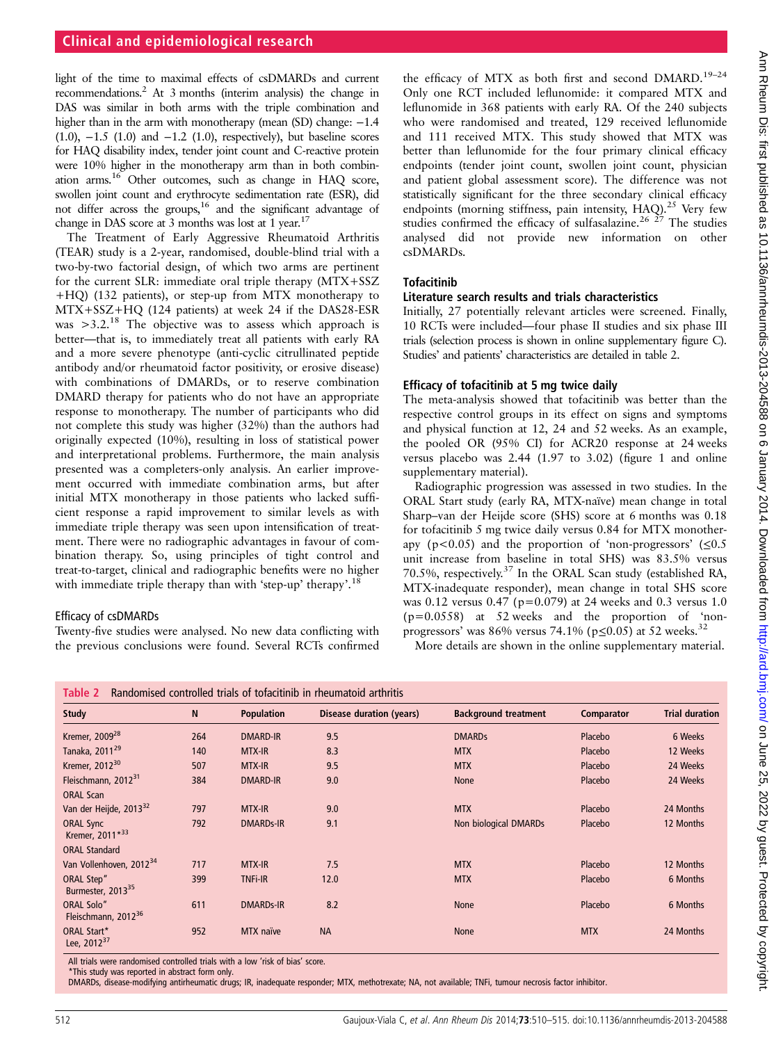light of the time to maximal effects of csDMARDs and current recommendations.2 At 3 months (interim analysis) the change in DAS was similar in both arms with the triple combination and higher than in the arm with monotherapy (mean (SD) change: −1.4 (1.0), −1.5 (1.0) and −1.2 (1.0), respectively), but baseline scores for HAQ disability index, tender joint count and C-reactive protein were 10% higher in the monotherapy arm than in both combination arms.16 Other outcomes, such as change in HAQ score, swollen joint count and erythrocyte sedimentation rate (ESR), did not differ across the groups,16 and the significant advantage of change in DAS score at 3 months was lost at 1 year.<sup>17</sup>

The Treatment of Early Aggressive Rheumatoid Arthritis (TEAR) study is a 2-year, randomised, double-blind trial with a two-by-two factorial design, of which two arms are pertinent for the current SLR: immediate oral triple therapy (MTX+SSZ +HQ) (132 patients), or step-up from MTX monotherapy to MTX+SSZ+HQ (124 patients) at week 24 if the DAS28-ESR was  $>3.2.^{18}$  The objective was to assess which approach is better—that is, to immediately treat all patients with early RA and a more severe phenotype (anti-cyclic citrullinated peptide antibody and/or rheumatoid factor positivity, or erosive disease) with combinations of DMARDs, or to reserve combination DMARD therapy for patients who do not have an appropriate response to monotherapy. The number of participants who did not complete this study was higher (32%) than the authors had originally expected (10%), resulting in loss of statistical power and interpretational problems. Furthermore, the main analysis presented was a completers-only analysis. An earlier improvement occurred with immediate combination arms, but after initial MTX monotherapy in those patients who lacked sufficient response a rapid improvement to similar levels as with immediate triple therapy was seen upon intensification of treatment. There were no radiographic advantages in favour of combination therapy. So, using principles of tight control and treat-to-target, clinical and radiographic benefits were no higher with immediate triple therapy than with 'step-up' therapy'.<sup>18</sup>

# Efficacy of csDMARDs

Twenty-five studies were analysed. No new data conflicting with the previous conclusions were found. Several RCTs confirmed

the efficacy of MTX as both first and second DMARD.<sup>19-24</sup> Only one RCT included leflunomide: it compared MTX and leflunomide in 368 patients with early RA. Of the 240 subjects who were randomised and treated, 129 received leflunomide and 111 received MTX. This study showed that MTX was better than leflunomide for the four primary clinical efficacy endpoints (tender joint count, swollen joint count, physician and patient global assessment score). The difference was not statistically significant for the three secondary clinical efficacy endpoints (morning stiffness, pain intensity,  $HAQ$ ).<sup>25</sup> Very few studies confirmed the efficacy of sulfasalazine.<sup>26</sup>  $27$  The studies analysed did not provide new information on other csDMARDs.

## **Tofacitinib**

# Literature search results and trials characteristics

Initially, 27 potentially relevant articles were screened. Finally, 10 RCTs were included—four phase II studies and six phase III trials (selection process is shown in online [supplementary](http://ard.bmj.com/lookup/suppl/doi:10.1136/annrheumdis-2013-204588/-/DC1) figure C). Studies' and patients' characteristics are detailed in table 2.

## Efficacy of tofacitinib at 5 mg twice daily

The meta-analysis showed that tofacitinib was better than the respective control groups in its effect on signs and symptoms and physical function at 12, 24 and 52 weeks. As an example, the pooled OR (95% CI) for ACR20 response at 24 weeks versus placebo was 2.44 (1.97 to 3.02) (figure 1 and online [supplementary material](http://ard.bmj.com/lookup/suppl/doi:10.1136/annrheumdis-2013-204588/-/DC1)).

Radiographic progression was assessed in two studies. In the ORAL Start study (early RA, MTX-naïve) mean change in total Sharp–van der Heijde score (SHS) score at 6 months was 0.18 for tofacitinib 5 mg twice daily versus 0.84 for MTX monotherapy ( $p < 0.05$ ) and the proportion of 'non-progressors' ( $\leq 0.5$ ) unit increase from baseline in total SHS) was 83.5% versus 70.5%, respectively.<sup>37</sup> In the ORAL Scan study (established RA, MTX-inadequate responder), mean change in total SHS score was 0.12 versus 0.47 (p=0.079) at 24 weeks and 0.3 versus 1.0 (p=0.0558) at 52 weeks and the proportion of 'nonprogressors' was 86% versus 74.1% (p≤0.05) at 52 weeks.<sup>32</sup>

More details are shown in the online [supplementary material.](http://ard.bmj.com/lookup/suppl/doi:10.1136/annrheumdis-2013-204588/-/DC1)

| Randomised controlled trials of tofacitinib in rheumatoid arthritis<br>Table 2 |     |                   |                          |                             |                   |                       |  |
|--------------------------------------------------------------------------------|-----|-------------------|--------------------------|-----------------------------|-------------------|-----------------------|--|
| <b>Study</b>                                                                   | N   | <b>Population</b> | Disease duration (years) | <b>Background treatment</b> | <b>Comparator</b> | <b>Trial duration</b> |  |
| Kremer, 2009 <sup>28</sup>                                                     | 264 | <b>DMARD-IR</b>   | 9.5                      | <b>DMARDs</b>               | Placebo           | 6 Weeks               |  |
| Tanaka, 2011 <sup>29</sup>                                                     | 140 | <b>MTX-IR</b>     | 8.3                      | <b>MTX</b>                  | Placebo           | 12 Weeks              |  |
| Kremer, 2012 <sup>30</sup>                                                     | 507 | <b>MTX-IR</b>     | 9.5                      | <b>MTX</b>                  | Placebo           | 24 Weeks              |  |
| Fleischmann, 2012 <sup>31</sup>                                                | 384 | <b>DMARD-IR</b>   | 9.0                      | <b>None</b>                 | Placebo           | 24 Weeks              |  |
| <b>ORAL Scan</b>                                                               |     |                   |                          |                             |                   |                       |  |
| Van der Heijde, 2013 <sup>32</sup>                                             | 797 | <b>MTX-IR</b>     | 9.0                      | <b>MTX</b>                  | Placebo           | 24 Months             |  |
| <b>ORAL Sync</b><br>Kremer, 2011*33                                            | 792 | <b>DMARDs-IR</b>  | 9.1                      | Non biological DMARDs       | Placebo           | 12 Months             |  |
| <b>ORAL Standard</b>                                                           |     |                   |                          |                             |                   |                       |  |
| Van Vollenhoven, 2012 <sup>34</sup>                                            | 717 | <b>MTX-IR</b>     | 7.5                      | <b>MTX</b>                  | Placebo           | 12 Months             |  |
| <b>ORAL Step"</b><br>Burmester, 2013 <sup>35</sup>                             | 399 | <b>TNFi-IR</b>    | 12.0                     | <b>MTX</b>                  | Placebo           | 6 Months              |  |
| <b>ORAL Solo"</b><br>Fleischmann, 2012 <sup>36</sup>                           | 611 | <b>DMARDs-IR</b>  | 8.2                      | <b>None</b>                 | Placebo           | 6 Months              |  |
| <b>ORAL Start*</b><br>Lee, $2012^{37}$                                         | 952 | MTX naïve         | <b>NA</b>                | <b>None</b>                 | <b>MTX</b>        | 24 Months             |  |

All trials were randomised controlled trials with a low 'risk of bias' score.

\*This study was reported in abstract form only.

DMARDs, disease-modifying antirheumatic drugs; IR, inadequate responder; MTX, methotrexate; NA, not available; TNFi, tumour necrosis factor inhibitor.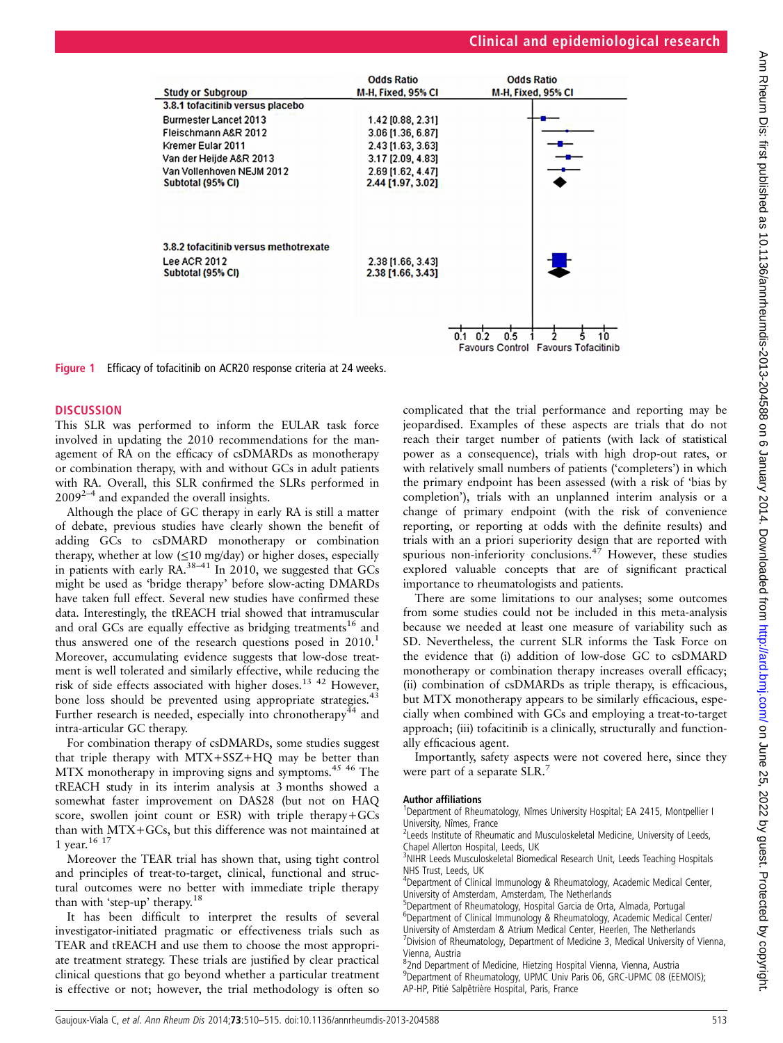| <b>Study or Subgroup</b>              | <b>Odds Ratio</b><br>M-H, Fixed, 95% CI | <b>Odds Ratio</b><br><b>M-H, Fixed, 95% CI</b>                         |  |
|---------------------------------------|-----------------------------------------|------------------------------------------------------------------------|--|
| 3.8.1 tofacitinib versus placebo      |                                         |                                                                        |  |
| <b>Burmester Lancet 2013</b>          | 1.42 [0.88, 2.31]                       |                                                                        |  |
| Fleischmann A&R 2012                  | 3.06 [1.36, 6.87]                       |                                                                        |  |
| Kremer Eular 2011                     | 2.43 [1.63, 3.63]                       |                                                                        |  |
| Van der Heijde A&R 2013               | 3.17 [2.09, 4.83]                       |                                                                        |  |
| Van Vollenhoven NEJM 2012             | 2.69 [1.62, 4.47]                       |                                                                        |  |
| Subtotal (95% CI)                     | 2.44 [1.97, 3.02]                       |                                                                        |  |
| 3.8.2 tofacitinib versus methotrexate |                                         |                                                                        |  |
| Lee ACR 2012<br>Subtotal (95% CI)     | 2.38 [1.66, 3.43]<br>2.38 [1.66, 3.43]  |                                                                        |  |
|                                       |                                         |                                                                        |  |
|                                       |                                         | 0.5<br>0.2<br>0.1<br>1 N<br><b>Favours Control Favours Tofacitinib</b> |  |

Figure 1 Efficacy of tofacitinib on ACR20 response criteria at 24 weeks.

# **DISCUSSION**

This SLR was performed to inform the EULAR task force involved in updating the 2010 recommendations for the management of RA on the efficacy of csDMARDs as monotherapy or combination therapy, with and without GCs in adult patients with RA. Overall, this SLR confirmed the SLRs performed in  $2009^{2-4}$  and expanded the overall insights.

Although the place of GC therapy in early RA is still a matter of debate, previous studies have clearly shown the benefit of adding GCs to csDMARD monotherapy or combination therapy, whether at low  $(\leq 10 \text{ mg/day})$  or higher doses, especially in patients with early  $\overline{RA}^{38-41}$  In 2010, we suggested that GCs might be used as 'bridge therapy' before slow-acting DMARDs have taken full effect. Several new studies have confirmed these data. Interestingly, the tREACH trial showed that intramuscular and oral GCs are equally effective as bridging treatments<sup>16</sup> and thus answered one of the research questions posed in 2010.<sup>1</sup> Moreover, accumulating evidence suggests that low-dose treatment is well tolerated and similarly effective, while reducing the risk of side effects associated with higher doses.13 42 However, bone loss should be prevented using appropriate strategies.<sup>43</sup> Further research is needed, especially into chronotherapy<sup>44</sup> and intra-articular GC therapy.

For combination therapy of csDMARDs, some studies suggest that triple therapy with MTX+SSZ+HQ may be better than MTX monotherapy in improving signs and symptoms.<sup>45 46</sup> The tREACH study in its interim analysis at 3 months showed a somewhat faster improvement on DAS28 (but not on HAQ score, swollen joint count or ESR) with triple therapy+GCs than with MTX+GCs, but this difference was not maintained at 1 year.<sup>16 17</sup>

Moreover the TEAR trial has shown that, using tight control and principles of treat-to-target, clinical, functional and structural outcomes were no better with immediate triple therapy than with 'step-up' therapy.<sup>18</sup>

It has been difficult to interpret the results of several investigator-initiated pragmatic or effectiveness trials such as TEAR and tREACH and use them to choose the most appropriate treatment strategy. These trials are justified by clear practical clinical questions that go beyond whether a particular treatment is effective or not; however, the trial methodology is often so complicated that the trial performance and reporting may be jeopardised. Examples of these aspects are trials that do not reach their target number of patients (with lack of statistical power as a consequence), trials with high drop-out rates, or with relatively small numbers of patients ('completers') in which the primary endpoint has been assessed (with a risk of 'bias by completion'), trials with an unplanned interim analysis or a change of primary endpoint (with the risk of convenience reporting, or reporting at odds with the definite results) and trials with an a priori superiority design that are reported with spurious non-inferiority conclusions.<sup>47</sup> However, these studies explored valuable concepts that are of significant practical importance to rheumatologists and patients.

There are some limitations to our analyses; some outcomes from some studies could not be included in this meta-analysis because we needed at least one measure of variability such as SD. Nevertheless, the current SLR informs the Task Force on the evidence that (i) addition of low-dose GC to csDMARD monotherapy or combination therapy increases overall efficacy; (ii) combination of csDMARDs as triple therapy, is efficacious, but MTX monotherapy appears to be similarly efficacious, especially when combined with GCs and employing a treat-to-target approach; (iii) tofacitinib is a clinically, structurally and functionally efficacious agent.

Importantly, safety aspects were not covered here, since they were part of a separate SLR.

## Author affiliations <sup>1</sup>

<sup>1</sup>Department of Rheumatology, Nîmes University Hospital; EA 2415, Montpellier I University, Nîmes, France

<sup>2</sup> Leeds Institute of Rheumatic and Musculoskeletal Medicine, University of Leeds, Chapel Allerton Hospital, Leeds, UK

<sup>3</sup>NIHR Leeds Musculoskeletal Biomedical Research Unit, Leeds Teaching Hospitals NHS Trust, Leeds, UK

<sup>4</sup>Department of Clinical Immunology & Rheumatology, Academic Medical Center, University of Amsterdam, Amsterdam, The Netherlands

5 Department of Rheumatology, Hospital Garcia de Orta, Almada, Portugal <sup>6</sup>Department of Clinical Immunology & Rheumatology, Academic Medical Center/ University of Amsterdam & Atrium Medical Center, Heerlen, The Netherlands

<sup>7</sup> Division of Rheumatology, Department of Medicine 3, Medical University of Vienna, Vienna, Austria

<sup>8</sup>2nd Department of Medicine, Hietzing Hospital Vienna, Vienna, Austria <sup>9</sup>Department of Rheumatology, UPMC Univ Paris 06, GRC-UPMC 08 (EEMOIS); AP-HP, Pitié Salpêtrière Hospital, Paris, France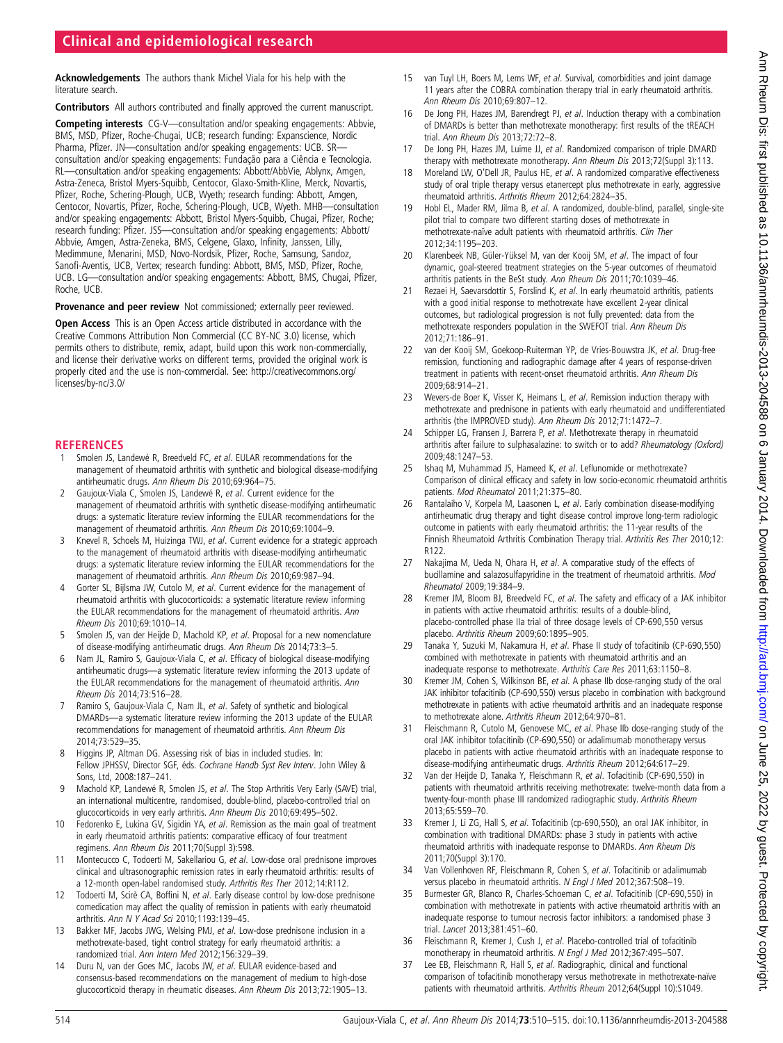# Clinical and epidemiological research

Acknowledgements The authors thank Michel Viala for his help with the literature search.

Contributors All authors contributed and finally approved the current manuscript.

Competing interests CG-V—consultation and/or speaking engagements: Abbvie, BMS, MSD, Pfizer, Roche-Chugai, UCB; research funding: Expanscience, Nordic Pharma, Pfizer. JN—consultation and/or speaking engagements: UCB. SR consultation and/or speaking engagements: Fundação para a Ciência e Tecnologia. RL—consultation and/or speaking engagements: Abbott/AbbVie, Ablynx, Amgen, Astra-Zeneca, Bristol Myers-Squibb, Centocor, Glaxo-Smith-Kline, Merck, Novartis, Pfizer, Roche, Schering-Plough, UCB, Wyeth; research funding: Abbott, Amgen, Centocor, Novartis, Pfizer, Roche, Schering-Plough, UCB, Wyeth. MHB—consultation and/or speaking engagements: Abbott, Bristol Myers-Squibb, Chugai, Pfizer, Roche; research funding: Pfizer. JSS—consultation and/or speaking engagements: Abbott/ Abbvie, Amgen, Astra-Zeneka, BMS, Celgene, Glaxo, Infinity, Janssen, Lilly, Medimmune, Menarini, MSD, Novo-Nordsik, Pfizer, Roche, Samsung, Sandoz, Sanofi-Aventis, UCB, Vertex; research funding: Abbott, BMS, MSD, Pfizer, Roche, UCB. LG—consultation and/or speaking engagements: Abbott, BMS, Chugai, Pfizer, Roche, UCB.

Provenance and peer review Not commissioned; externally peer reviewed.

Open Access This is an Open Access article distributed in accordance with the Creative Commons Attribution Non Commercial (CC BY-NC 3.0) license, which permits others to distribute, remix, adapt, build upon this work non-commercially, and license their derivative works on different terms, provided the original work is properly cited and the use is non-commercial. See: http://creativecommons.org/ licenses/by-nc/3.0/

## **REFERENCES**

- 1 Smolen JS, Landewé R, Breedveld FC, et al. EULAR recommendations for the management of rheumatoid arthritis with synthetic and biological disease-modifying antirheumatic drugs. Ann Rheum Dis 2010;69:964–75.
- 2 Gaujoux-Viala C, Smolen JS, Landewé R, et al. Current evidence for the management of rheumatoid arthritis with synthetic disease-modifying antirheumatic drugs: a systematic literature review informing the EULAR recommendations for the management of rheumatoid arthritis. Ann Rheum Dis 2010;69:1004–9.
- 3 Knevel R, Schoels M, Huizinga TWJ, et al. Current evidence for a strategic approach to the management of rheumatoid arthritis with disease-modifying antirheumatic drugs: a systematic literature review informing the EULAR recommendations for the management of rheumatoid arthritis. Ann Rheum Dis 2010;69:987–94.
- Gorter SL, Bijlsma JW, Cutolo M, et al. Current evidence for the management of rheumatoid arthritis with glucocorticoids: a systematic literature review informing the EULAR recommendations for the management of rheumatoid arthritis. Ann Rheum Dis 2010;69:1010–14.
- 5 Smolen JS, van der Heijde D, Machold KP, et al. Proposal for a new nomenclature of disease-modifying antirheumatic drugs. Ann Rheum Dis 2014;73:3–5.
- 6 Nam JL, Ramiro S, Gaujoux-Viala C, et al. Efficacy of biological disease-modifying antirheumatic drugs—a systematic literature review informing the 2013 update of the EULAR recommendations for the management of rheumatoid arthritis. Ann Rheum Dis 2014;73:516–28.
- 7 Ramiro S, Gaujoux-Viala C, Nam JL, et al. Safety of synthetic and biological DMARDs—a systematic literature review informing the 2013 update of the EULAR recommendations for management of rheumatoid arthritis. Ann Rheum Dis 2014;73:529–35.
- 8 Higgins JP, Altman DG. Assessing risk of bias in included studies. In: Fellow JPHSSV, Director SGF, éds. Cochrane Handb Syst Rev Interv. John Wiley & Sons, Ltd, 2008:187–241.
- 9 Machold KP, Landewé R, Smolen JS, et al. The Stop Arthritis Very Early (SAVE) trial, an international multicentre, randomised, double-blind, placebo-controlled trial on glucocorticoids in very early arthritis. Ann Rheum Dis 2010;69:495–502.
- 10 Fedorenko E, Lukina GV, Sigidin YA, et al. Remission as the main goal of treatment in early rheumatoid arthritis patients: comparative efficacy of four treatment regimens. Ann Rheum Dis 2011;70(Suppl 3):598.
- 11 Montecucco C, Todoerti M, Sakellariou G, et al. Low-dose oral prednisone improves clinical and ultrasonographic remission rates in early rheumatoid arthritis: results of a 12-month open-label randomised study. Arthritis Res Ther 2012;14:R112.
- 12 Todoerti M, Scirè CA, Boffini N, et al. Early disease control by low-dose prednisone comedication may affect the quality of remission in patients with early rheumatoid arthritis. Ann N Y Acad Sci 2010;1193:139–45.
- 13 Bakker MF, Jacobs JWG, Welsing PMJ, et al. Low-dose prednisone inclusion in a methotrexate-based, tight control strategy for early rheumatoid arthritis: a randomized trial. Ann Intern Med 2012;156:329–39.
- 14 Duru N, van der Goes MC, Jacobs JW, et al. EULAR evidence-based and consensus-based recommendations on the management of medium to high-dose glucocorticoid therapy in rheumatic diseases. Ann Rheum Dis 2013;72:1905–13.
- 15 van Tuyl LH, Boers M, Lems WF, et al. Survival, comorbidities and joint damage 11 years after the COBRA combination therapy trial in early rheumatoid arthritis. Ann Rheum Dis 2010;69:807–12.
- 16 De Jong PH, Hazes JM, Barendregt PJ, et al. Induction therapy with a combination of DMARDs is better than methotrexate monotherapy: first results of the tREACH trial. Ann Rheum Dis 2013;72:72–8.
- 17 De Jong PH, Hazes JM, Luime JJ, et al. Randomized comparison of triple DMARD therapy with methotrexate monotherapy. Ann Rheum Dis 2013;72(Suppl 3):113.
- 18 Moreland LW, O'Dell JR, Paulus HE, et al. A randomized comparative effectiveness study of oral triple therapy versus etanercept plus methotrexate in early, aggressive rheumatoid arthritis. Arthritis Rheum 2012;64:2824–35.
- 19 Hobl EL, Mader RM, Jilma B, et al. A randomized, double-blind, parallel, single-site pilot trial to compare two different starting doses of methotrexate in methotrexate-naïve adult patients with rheumatoid arthritis. Clin Ther 2012;34:1195–203.
- 20 Klarenbeek NB, Güler-Yüksel M, van der Kooij SM, et al. The impact of four dynamic, goal-steered treatment strategies on the 5-year outcomes of rheumatoid arthritis patients in the BeSt study. Ann Rheum Dis 2011;70:1039–46.
- 21 Rezaei H, Saevarsdottir S, Forslind K, et al. In early rheumatoid arthritis, patients with a good initial response to methotrexate have excellent 2-year clinical outcomes, but radiological progression is not fully prevented: data from the methotrexate responders population in the SWEFOT trial. Ann Rheum Dis 2012;71:186–91.
- 22 van der Kooij SM, Goekoop-Ruiterman YP, de Vries-Bouwstra JK, et al. Drug-free remission, functioning and radiographic damage after 4 years of response-driven treatment in patients with recent-onset rheumatoid arthritis. Ann Rheum Dis 2009;68:914–21.
- 23 Wevers-de Boer K, Visser K, Heimans L, et al. Remission induction therapy with methotrexate and prednisone in patients with early rheumatoid and undifferentiated arthritis (the IMPROVED study). Ann Rheum Dis 2012;71:1472–7.
- 24 Schipper LG, Fransen J, Barrera P, et al. Methotrexate therapy in rheumatoid arthritis after failure to sulphasalazine: to switch or to add? Rheumatology (Oxford) 2009;48:1247–53.
- 25 Ishaq M, Muhammad JS, Hameed K, et al. Leflunomide or methotrexate? Comparison of clinical efficacy and safety in low socio-economic rheumatoid arthritis patients. Mod Rheumatol 2011;21:375–80.
- 26 Rantalaiho V, Korpela M, Laasonen L, et al. Early combination disease-modifying antirheumatic drug therapy and tight disease control improve long-term radiologic outcome in patients with early rheumatoid arthritis: the 11-year results of the Finnish Rheumatoid Arthritis Combination Therapy trial. Arthritis Res Ther 2010;12: R122.
- 27 Nakajima M, Ueda N, Ohara H, et al. A comparative study of the effects of bucillamine and salazosulfapyridine in the treatment of rheumatoid arthritis. Mod Rheumatol 2009;19:384–9.
- 28 Kremer JM, Bloom BJ, Breedveld FC, et al. The safety and efficacy of a JAK inhibitor in patients with active rheumatoid arthritis: results of a double-blind, placebo-controlled phase IIa trial of three dosage levels of CP-690,550 versus placebo. Arthritis Rheum 2009;60:1895–905.
- 29 Tanaka Y, Suzuki M, Nakamura H, et al. Phase II study of tofacitinib (CP-690,550) combined with methotrexate in patients with rheumatoid arthritis and an inadequate response to methotrexate. Arthritis Care Res 2011;63:1150–8.
- 30 Kremer JM, Cohen S, Wilkinson BE, et al. A phase IIb dose-ranging study of the oral JAK inhibitor tofacitinib (CP-690,550) versus placebo in combination with background methotrexate in patients with active rheumatoid arthritis and an inadequate response to methotrexate alone. Arthritis Rheum 2012;64:970–81.
- 31 Fleischmann R, Cutolo M, Genovese MC, et al. Phase IIb dose-ranging study of the oral JAK inhibitor tofacitinib (CP-690,550) or adalimumab monotherapy versus placebo in patients with active rheumatoid arthritis with an inadequate response to disease-modifying antirheumatic drugs. Arthritis Rheum 2012;64:617–29.
- Van der Heijde D, Tanaka Y, Fleischmann R, et al. Tofacitinib (CP-690,550) in patients with rheumatoid arthritis receiving methotrexate: twelve-month data from a twenty-four-month phase III randomized radiographic study. Arthritis Rheum 2013;65:559–70.
- 33 Kremer J, Li ZG, Hall S, et al. Tofacitinib (cp-690,550), an oral JAK inhibitor, in combination with traditional DMARDs: phase 3 study in patients with active rheumatoid arthritis with inadequate response to DMARDs. Ann Rheum Dis 2011;70(Suppl 3):170.
- 34 Van Vollenhoven RF, Fleischmann R, Cohen S, et al. Tofacitinib or adalimumab versus placebo in rheumatoid arthritis. N Engl J Med 2012;367:508-19.
- 35 Burmester GR, Blanco R, Charles-Schoeman C, et al. Tofacitinib (CP-690,550) in combination with methotrexate in patients with active rheumatoid arthritis with an inadequate response to tumour necrosis factor inhibitors: a randomised phase 3 trial. Lancet 2013;381:451–60.
- 36 Fleischmann R, Kremer J, Cush J, et al. Placebo-controlled trial of tofacitinib monotherapy in rheumatoid arthritis. N Engl J Med 2012;367:495–507.
- 37 Lee EB, Fleischmann R, Hall S, et al. Radiographic, clinical and functional comparison of tofacitinib monotherapy versus methotrexate in methotrexate-naïve patients with rheumatoid arthritis. Arthritis Rheum 2012;64(Suppl 10):S1049.